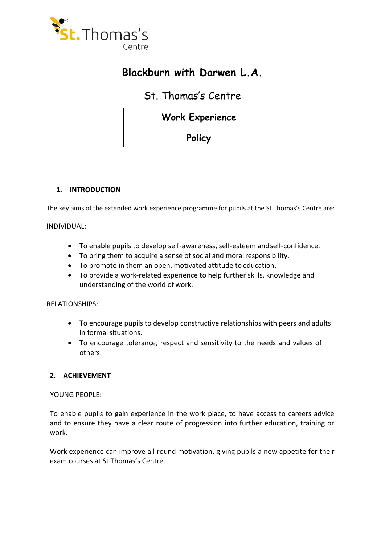

# **Blackburn with Darwen L.A.**

## St. Thomas's Centre

## **Work Experience**

**Policy** 

## **1. INTRODUCTION**

The key aims of the extended work experience programme for pupils at the St Thomas's Centre are:

INDIVIDUAL:

- To enable pupils to develop self-awareness, self-esteem and self-confidence.
- To bring them to acquire a sense of social and moral responsibility.
- To promote in them an open, motivated attitude to education.
- To provide a work-related experience to help further skills, knowledge and understanding of the world of work.

RELATIONSHIPS:

- To encourage pupils to develop constructive relationships with peers and adults in formal situations.
- To encourage tolerance, respect and sensitivity to the needs and values of others.

## **2. ACHIEVEMENT**

YOUNG PEOPLE:

To enable pupils to gain experience in the work place, to have access to careers advice and to ensure they have a clear route of progression into further education, training or work.

Work experience can improve all round motivation, giving pupils a new appetite for their exam courses at St Thomas's Centre.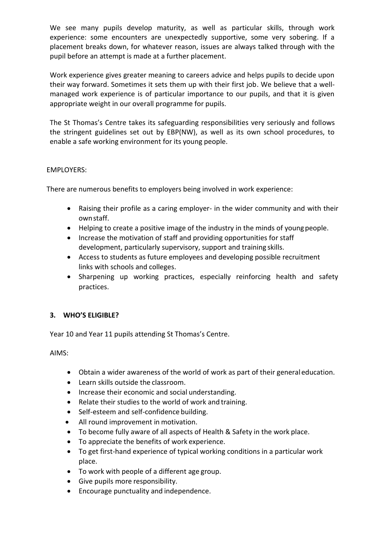We see many pupils develop maturity, as well as particular skills, through work experience: some encounters are unexpectedly supportive, some very sobering. If a placement breaks down, for whatever reason, issues are always talked through with the pupil before an attempt is made at a further placement.

Work experience gives greater meaning to careers advice and helps pupils to decide upon their way forward. Sometimes it sets them up with their first job. We believe that a wellmanaged work experience is of particular importance to our pupils, and that it is given appropriate weight in our overall programme for pupils.

The St Thomas's Centre takes its safeguarding responsibilities very seriously and follows the stringent guidelines set out by EBP(NW), as well as its own school procedures, to enable a safe working environment for its young people.

## EMPLOYERS:

There are numerous benefits to employers being involved in work experience:

- Raising their profile as a caring employer- in the wider community and with their ownstaff.
- Helping to create a positive image of the industry in the minds of young people.
- Increase the motivation of staff and providing opportunities for staff development, particularly supervisory, support and training skills.
- Access to students as future employees and developing possible recruitment links with schools and colleges.
- Sharpening up working practices, especially reinforcing health and safety practices.

## **3. WHO'S ELIGIBLE?**

Year 10 and Year 11 pupils attending St Thomas's Centre.

AIMS:

- Obtain a wider awareness of the world of work as part of their generaleducation.
- Learn skills outside the classroom.
- Increase their economic and social understanding.
- Relate their studies to the world of work and training.
- Self-esteem and self-confidence building.
- All round improvement in motivation.
- To become fully aware of all aspects of Health & Safety in the work place.
- To appreciate the benefits of work experience.
- To get first-hand experience of typical working conditions in a particular work place.
- To work with people of a different age group.
- Give pupils more responsibility.
- Encourage punctuality and independence.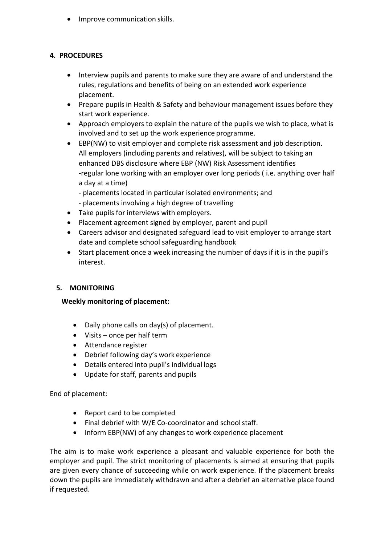• Improve communication skills.

## **4. PROCEDURES**

- Interview pupils and parents to make sure they are aware of and understand the rules, regulations and benefits of being on an extended work experience placement.
- Prepare pupils in Health & Safety and behaviour management issues before they start work experience.
- Approach employers to explain the nature of the pupils we wish to place, what is involved and to set up the work experience programme.
- EBP(NW) to visit employer and complete risk assessment and job description. All employers (including parents and relatives), will be subject to taking an enhanced DBS disclosure where EBP (NW) Risk Assessment identifies -regular lone working with an employer over long periods ( i.e. anything over half a day at a time)
	- placements located in particular isolated environments; and
	- placements involving a high degree of travelling
- Take pupils for interviews with employers.
- Placement agreement signed by employer, parent and pupil
- Careers advisor and designated safeguard lead to visit employer to arrange start date and complete school safeguarding handbook
- Start placement once a week increasing the number of days if it is in the pupil's interest.

## **5. MONITORING**

## **Weekly monitoring of placement:**

- Daily phone calls on day(s) of placement.
- Visits once per half term
- Attendance register
- Debrief following day's work experience
- Details entered into pupil's individual logs
- Update for staff, parents and pupils

## End of placement:

- Report card to be completed
- Final debrief with W/E Co-coordinator and school staff.
- Inform EBP(NW) of any changes to work experience placement

The aim is to make work experience a pleasant and valuable experience for both the employer and pupil. The strict monitoring of placements is aimed at ensuring that pupils are given every chance of succeeding while on work experience. If the placement breaks down the pupils are immediately withdrawn and after a debrief an alternative place found if requested.